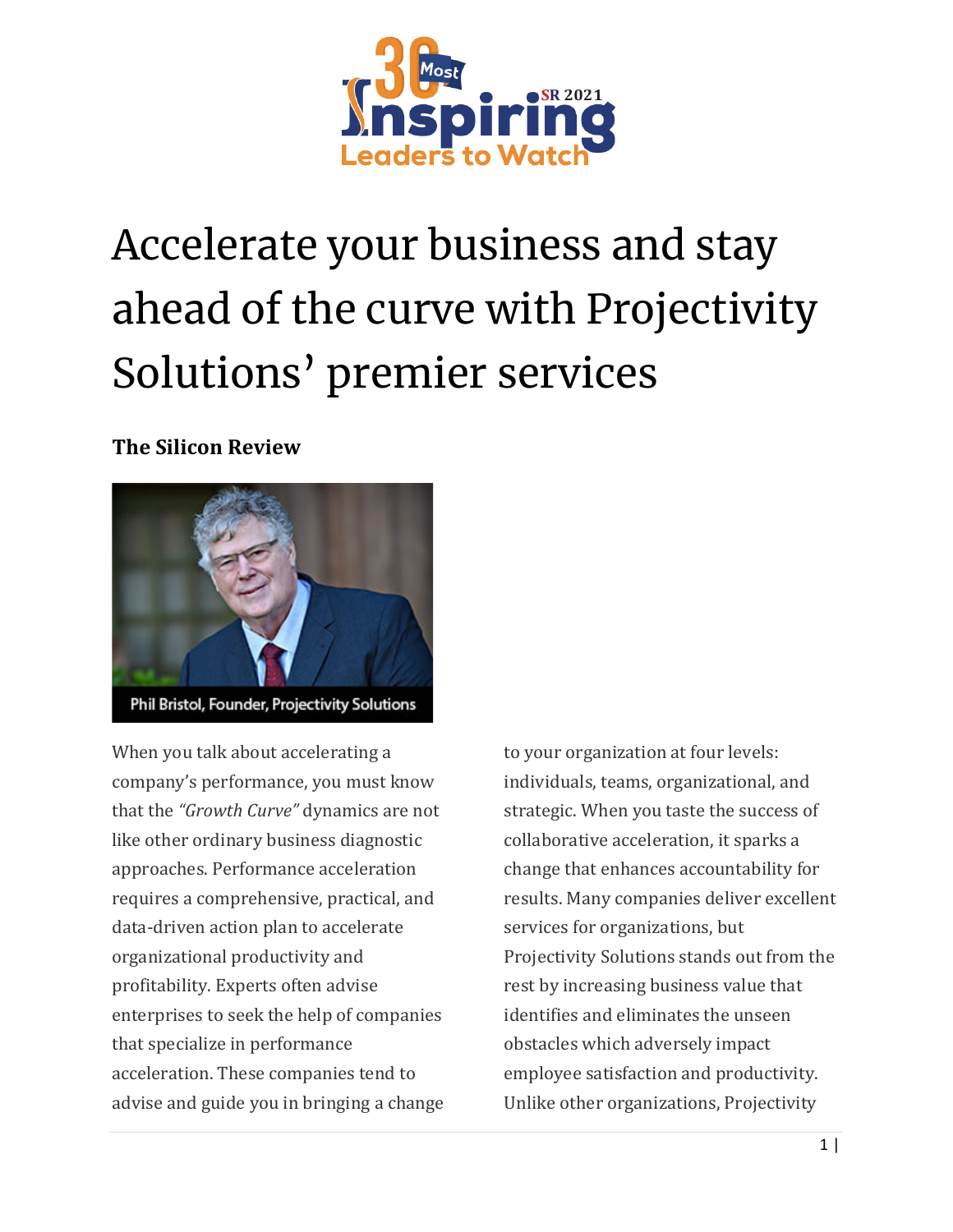

## Accelerate your business and stay ahead of the curve with Projectivity Solutions' premier services

## **The Silicon Review**



When you talk about accelerating a company's performance, you must know that the *"Growth Curve"* dynamics are not like other ordinary business diagnostic approaches. Performance acceleration requires a comprehensive, practical, and data-driven action plan to accelerate organizational productivity and profitability. Experts often advise enterprises to seek the help of companies that specialize in performance acceleration. These companies tend to advise and guide you in bringing a change to your organization at four levels: individuals, teams, organizational, and strategic. When you taste the success of collaborative acceleration, it sparks a change that enhances accountability for results. Many companies deliver excellent services for organizations, but Projectivity Solutions stands out from the rest by increasing business value that identifies and eliminates the unseen obstacles which adversely impact employee satisfaction and productivity. Unlike other organizations, Projectivity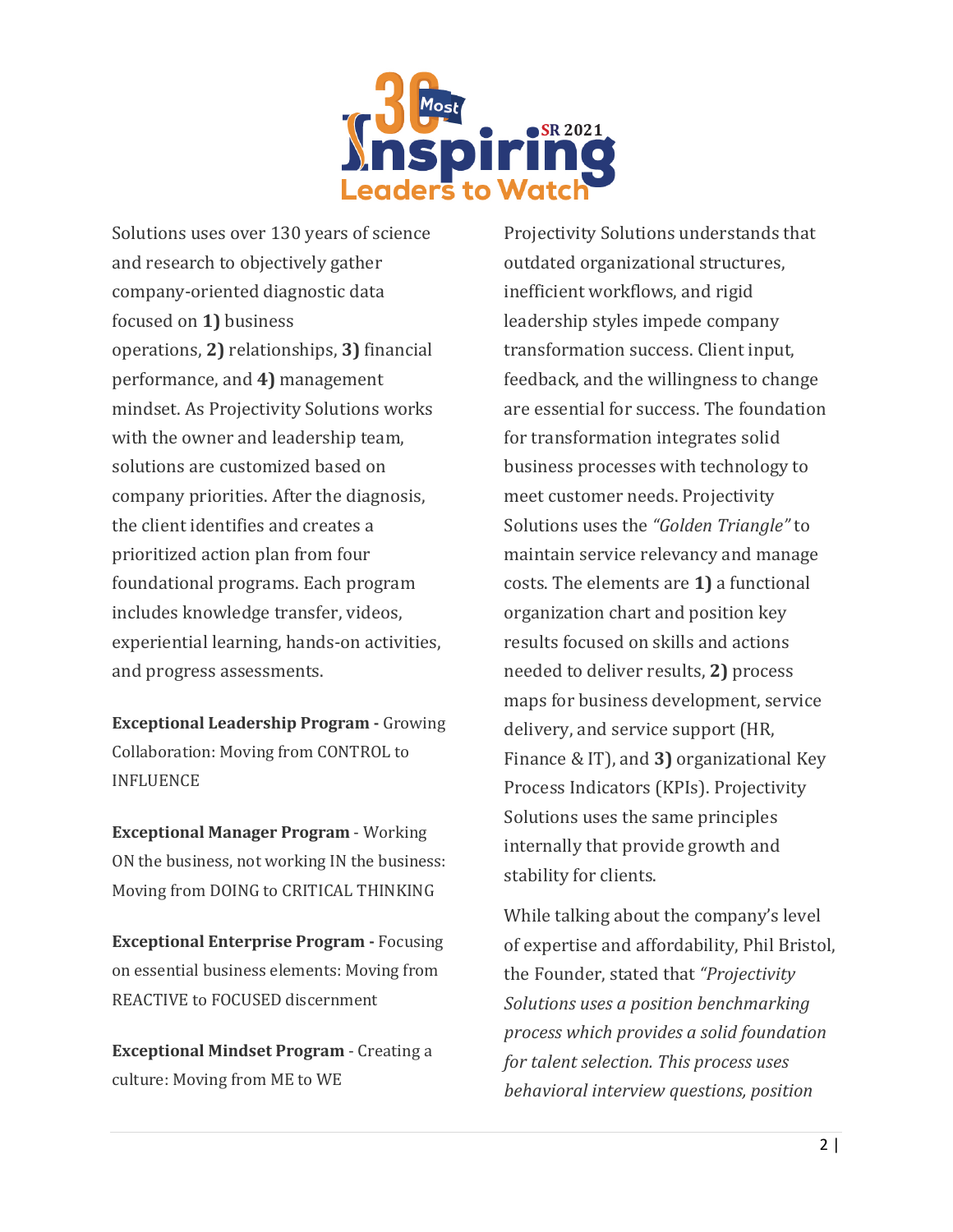

Solutions uses over 130 years of science and research to objectively gather company-oriented diagnostic data focused on **1)** business operations, **2)** relationships, **3)** financial performance, and **4)** management mindset. As Projectivity Solutions works with the owner and leadership team, solutions are customized based on company priorities. After the diagnosis, the client identifies and creates a prioritized action plan from four foundational programs. Each program includes knowledge transfer, videos, experiential learning, hands-on activities, and progress assessments.

**Exceptional Leadership Program -** Growing Collaboration: Moving from CONTROL to INFLUENCE

**Exceptional Manager Program** - Working ON the business, not working IN the business: Moving from DOING to CRITICAL THINKING

**Exceptional Enterprise Program -** Focusing on essential business elements: Moving from REACTIVE to FOCUSED discernment

**Exceptional Mindset Program** - Creating a culture: Moving from ME to WE

Projectivity Solutions understands that outdated organizational structures, inefficient workflows, and rigid leadership styles impede company transformation success. Client input, feedback, and the willingness to change are essential for success. The foundation for transformation integrates solid business processes with technology to meet customer needs. Projectivity Solutions uses the *"Golden Triangle"* to maintain service relevancy and manage costs. The elements are **1)** a functional organization chart and position key results focused on skills and actions needed to deliver results, **2)** process maps for business development, service delivery, and service support (HR, Finance & IT), and **3)** organizational Key Process Indicators (KPIs). Projectivity Solutions uses the same principles internally that provide growth and stability for clients.

While talking about the company's level of expertise and affordability, Phil Bristol, the Founder, stated that *"Projectivity Solutions uses a position benchmarking process which provides a solid foundation for talent selection. This process uses behavioral interview questions, position*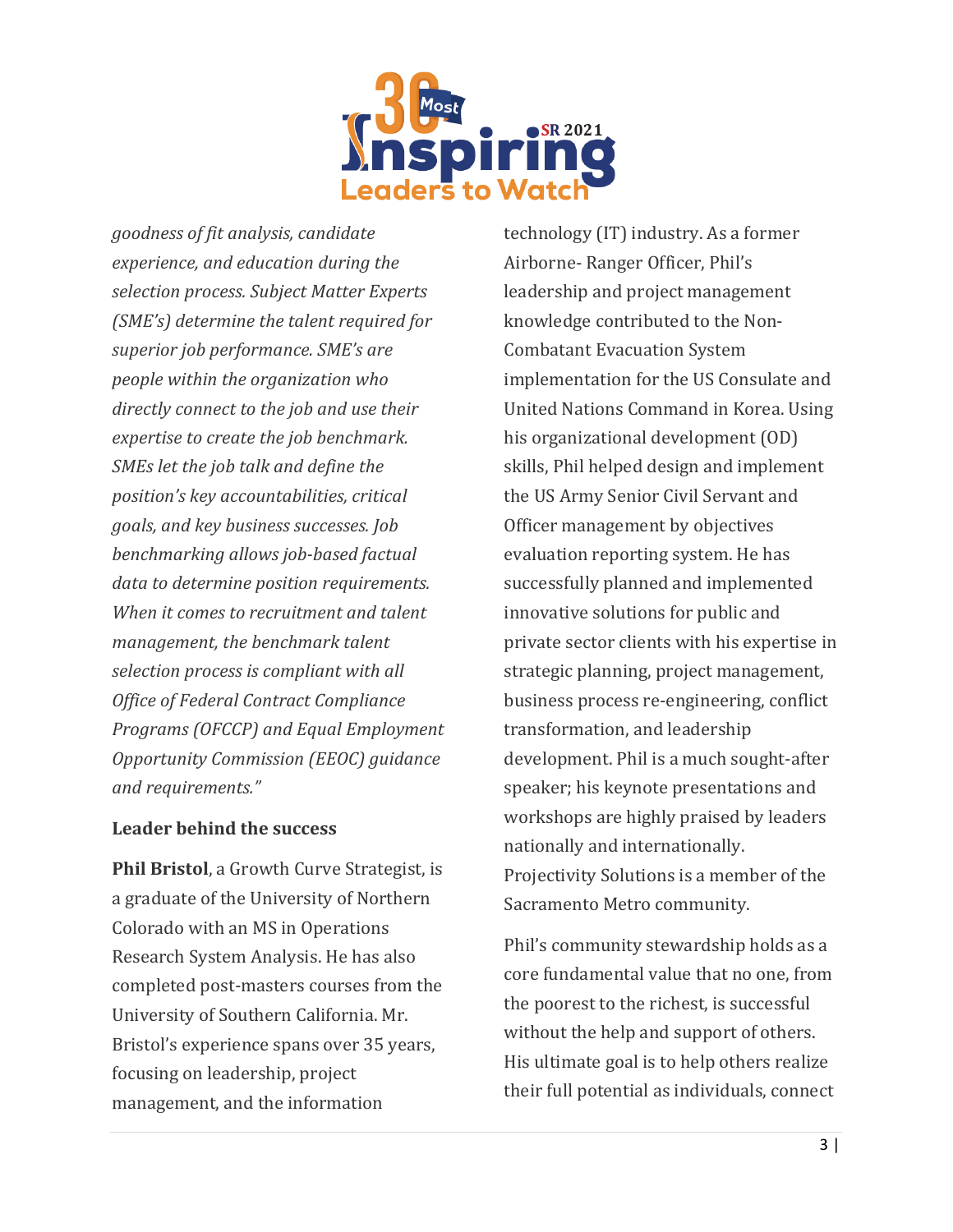

*goodness of fit analysis, candidate experience, and education during the selection process. Subject Matter Experts (SME's) determine the talent required for superior job performance. SME's are people within the organization who directly connect to the job and use their expertise to create the job benchmark. SMEs let the job talk and define the position's key accountabilities, critical goals, and key business successes. Job benchmarking allows job-based factual data to determine position requirements. When it comes to recruitment and talent management, the benchmark talent selection process is compliant with all Office of Federal Contract Compliance Programs (OFCCP) and Equal Employment Opportunity Commission (EEOC) guidance and requirements."*

## **Leader behind the success**

**Phil Bristol**, a Growth Curve Strategist, is a graduate of the University of Northern Colorado with an MS in Operations Research System Analysis. He has also completed post-masters courses from the University of Southern California. Mr. Bristol's experience spans over 35 years, focusing on leadership, project management, and the information

technology (IT) industry. As a former Airborne- Ranger Officer, Phil's leadership and project management knowledge contributed to the Non-Combatant Evacuation System implementation for the US Consulate and United Nations Command in Korea. Using his organizational development (OD) skills, Phil helped design and implement the US Army Senior Civil Servant and Officer management by objectives evaluation reporting system. He has successfully planned and implemented innovative solutions for public and private sector clients with his expertise in strategic planning, project management, business process re-engineering, conflict transformation, and leadership development. Phil is a much sought-after speaker; his keynote presentations and workshops are highly praised by leaders nationally and internationally. Projectivity Solutions is a member of the Sacramento Metro community.

Phil's community stewardship holds as a core fundamental value that no one, from the poorest to the richest, is successful without the help and support of others. His ultimate goal is to help others realize their full potential as individuals, connect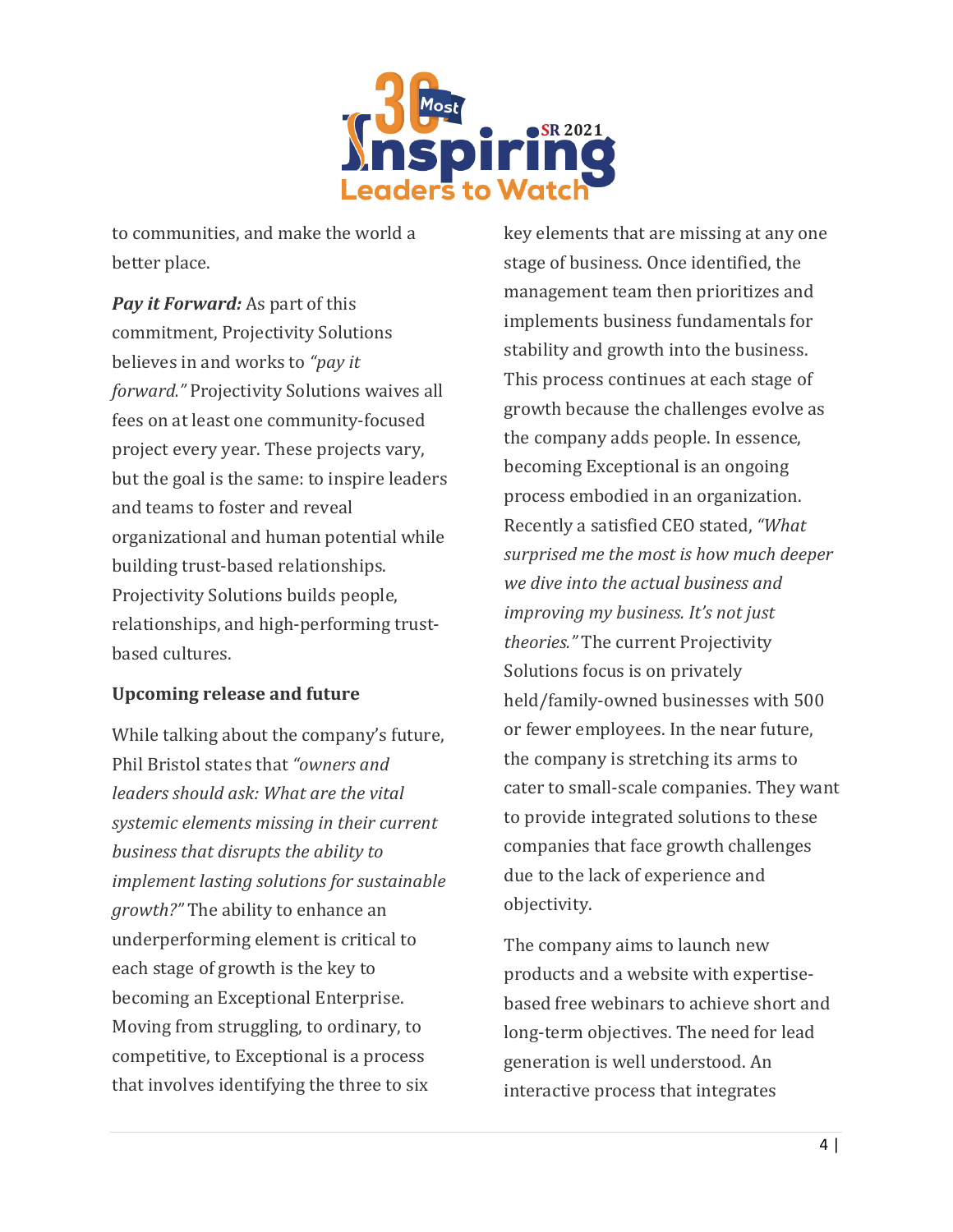

to communities, and make the world a better place.

*Pay it Forward:* As part of this commitment, Projectivity Solutions believes in and works to *"pay it forward."* Projectivity Solutions waives all fees on at least one community-focused project every year. These projects vary, but the goal is the same: to inspire leaders and teams to foster and reveal organizational and human potential while building trust-based relationships. Projectivity Solutions builds people, relationships, and high-performing trustbased cultures.

## **Upcoming release and future**

While talking about the company's future, Phil Bristol states that *"owners and leaders should ask: What are the vital systemic elements missing in their current business that disrupts the ability to implement lasting solutions for sustainable growth?"* The ability to enhance an underperforming element is critical to each stage of growth is the key to becoming an Exceptional Enterprise. Moving from struggling, to ordinary, to competitive, to Exceptional is a process that involves identifying the three to six

key elements that are missing at any one stage of business. Once identified, the management team then prioritizes and implements business fundamentals for stability and growth into the business. This process continues at each stage of growth because the challenges evolve as the company adds people. In essence, becoming Exceptional is an ongoing process embodied in an organization. Recently a satisfied CEO stated, *"What surprised me the most is how much deeper we dive into the actual business and improving my business. It's not just theories."* The current Projectivity Solutions focus is on privately held/family-owned businesses with 500 or fewer employees. In the near future, the company is stretching its arms to cater to small-scale companies. They want to provide integrated solutions to these companies that face growth challenges due to the lack of experience and objectivity.

The company aims to launch new products and a website with expertisebased free webinars to achieve short and long-term objectives. The need for lead generation is well understood. An interactive process that integrates